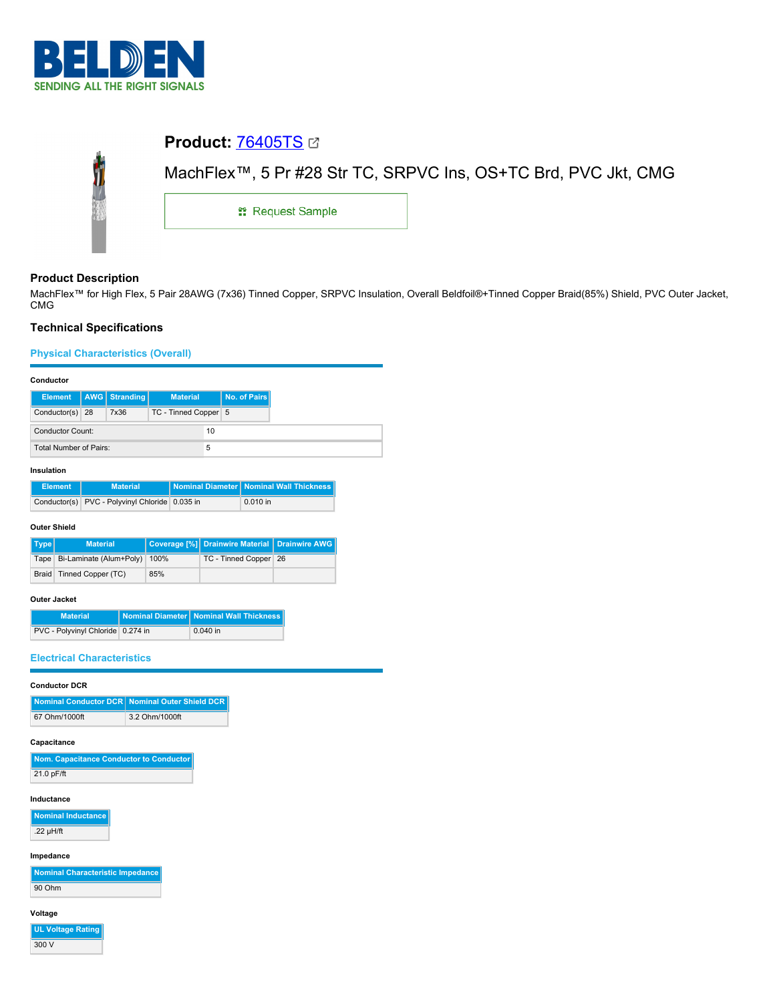

# **Product:** [76405TS](https://catalog.belden.com/index.cfm?event=pd&p=PF_76405TS&tab=downloads) MachFlex™, 5 Pr #28 Str TC, SRPVC Ins, OS+TC Brd, PVC Jkt, CMG Ĵ **::** Request Sample

# **Product Description**

MachFlex™ for High Flex, 5 Pair 28AWG (7x36) Tinned Copper, SRPVC Insulation, Overall Beldfoil®+Tinned Copper Braid(85%) Shield, PVC Outer Jacket, CMG

# **Technical Specifications**

# **Physical Characteristics (Overall)**

## **Conductor**

|                        |  | Element   AWG   Stranding | <b>Material</b>      | No. of Pairs |
|------------------------|--|---------------------------|----------------------|--------------|
| Conductor(s) 28        |  | 7x36                      | TC - Tinned Copper 5 |              |
| Conductor Count:       |  |                           | 10                   |              |
| Total Number of Pairs: |  |                           |                      |              |

## **Insulation**

| <b>Element</b> | <b>Material</b>                                | Nominal Diameter Nominal Wall Thickness |
|----------------|------------------------------------------------|-----------------------------------------|
|                | Conductor(s) PVC - Polyvinyl Chloride 0.035 in | $0.010$ in                              |

### **Outer Shield**

| Type | <b>Material</b>                   |     | Coverage [%] Drainwire Material   Drainwire AWG |  |
|------|-----------------------------------|-----|-------------------------------------------------|--|
|      | Tape Bi-Laminate (Alum+Poly) 100% |     | TC - Tinned Copper 26                           |  |
|      | Braid   Tinned Copper (TC)        | 85% |                                                 |  |

## **Outer Jacket**

| <b>Material</b>                   | Nominal Diameter Nominal Wall Thickness |
|-----------------------------------|-----------------------------------------|
| PVC - Polyvinyl Chloride 0.274 in | $0.040$ in                              |

## **Electrical Characteristics**

## **Conductor DCR**

|               | Nominal Conductor DCR Nominal Outer Shield DCR |
|---------------|------------------------------------------------|
| 67 Ohm/1000ft | 3.2 Ohm/1000ft                                 |

# **Capacitance**

| Nom. Capacitance Conductor to Conductor |
|-----------------------------------------|
| 21.0 pF/ft                              |

## **Inductance**

**Nominal Inductance** .22 µH/ft

# **Impedance**

| Nominal Characteristic Impedance |  |
|----------------------------------|--|
| 90 Ohm                           |  |

## **Voltage**

**UL Voltage Rating** 300 V